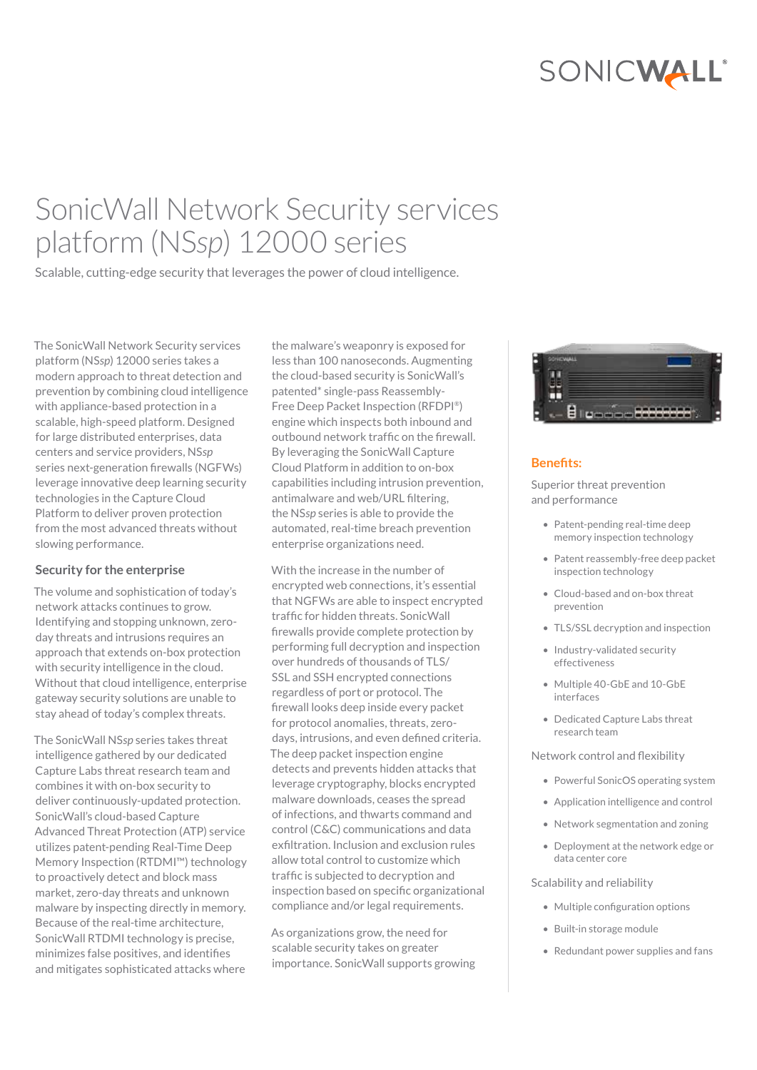# SONICWALL®

# SonicWall Network Security services platform (NS*sp*) 12000 series

Scalable, cutting-edge security that leverages the power of cloud intelligence.

The SonicWall Network Security services platform (NS*sp*) 12000 series takes a modern approach to threat detection and prevention by combining cloud intelligence with appliance-based protection in a scalable, high-speed platform. Designed for large distributed enterprises, data centers and service providers, NS*sp* series next-generation firewalls (NGFWs) leverage innovative deep learning security technologies in the Capture Cloud Platform to deliver proven protection from the most advanced threats without slowing performance.

#### **Security for the enterprise**

The volume and sophistication of today's network attacks continues to grow. Identifying and stopping unknown, zeroday threats and intrusions requires an approach that extends on-box protection with security intelligence in the cloud. Without that cloud intelligence, enterprise gateway security solutions are unable to stay ahead of today's complex threats.

The SonicWall NS*sp* series takes threat intelligence gathered by our dedicated Capture Labs threat research team and combines it with on-box security to deliver continuously-updated protection. SonicWall's cloud-based Capture Advanced Threat Protection (ATP) service utilizes patent-pending Real-Time Deep Memory Inspection (RTDMI™) technology to proactively detect and block mass market, zero-day threats and unknown malware by inspecting directly in memory. Because of the real-time architecture, SonicWall RTDMI technology is precise, minimizes false positives, and identifies and mitigates sophisticated attacks where

the malware's weaponry is exposed for less than 100 nanoseconds. Augmenting the cloud-based security is SonicWall's patented\* single-pass Reassembly-Free Deep Packet Inspection (RFDPI®) engine which inspects both inbound and outbound network traffic on the firewall. By leveraging the SonicWall Capture Cloud Platform in addition to on-box capabilities including intrusion prevention, antimalware and web/URL filtering, the NS*sp* series is able to provide the automated, real-time breach prevention enterprise organizations need.

With the increase in the number of encrypted web connections, it's essential that NGFWs are able to inspect encrypted traffic for hidden threats. SonicWall firewalls provide complete protection by performing full decryption and inspection over hundreds of thousands of TLS/ SSL and SSH encrypted connections regardless of port or protocol. The firewall looks deep inside every packet for protocol anomalies, threats, zerodays, intrusions, and even defined criteria. The deep packet inspection engine detects and prevents hidden attacks that leverage cryptography, blocks encrypted malware downloads, ceases the spread of infections, and thwarts command and control (C&C) communications and data exfiltration. Inclusion and exclusion rules allow total control to customize which traffic is subjected to decryption and inspection based on specific organizational compliance and/or legal requirements.

As organizations grow, the need for scalable security takes on greater importance. SonicWall supports growing



#### **Benefits:**

Superior threat prevention and performance

- Patent-pending real-time deep memory inspection technology
- Patent reassembly-free deep packet inspection technology
- Cloud-based and on-box threat prevention
- TLS/SSL decryption and inspection
- Industry-validated security effectiveness
- Multiple 40-GbE and 10-GbE interfaces
- Dedicated Capture Labs threat research team

#### Network control and flexibility

- Powerful SonicOS operating system
- Application intelligence and control
- Network segmentation and zoning
- Deployment at the network edge or data center core

#### Scalability and reliability

- Multiple configuration options
- Built-in storage module
- Redundant power supplies and fans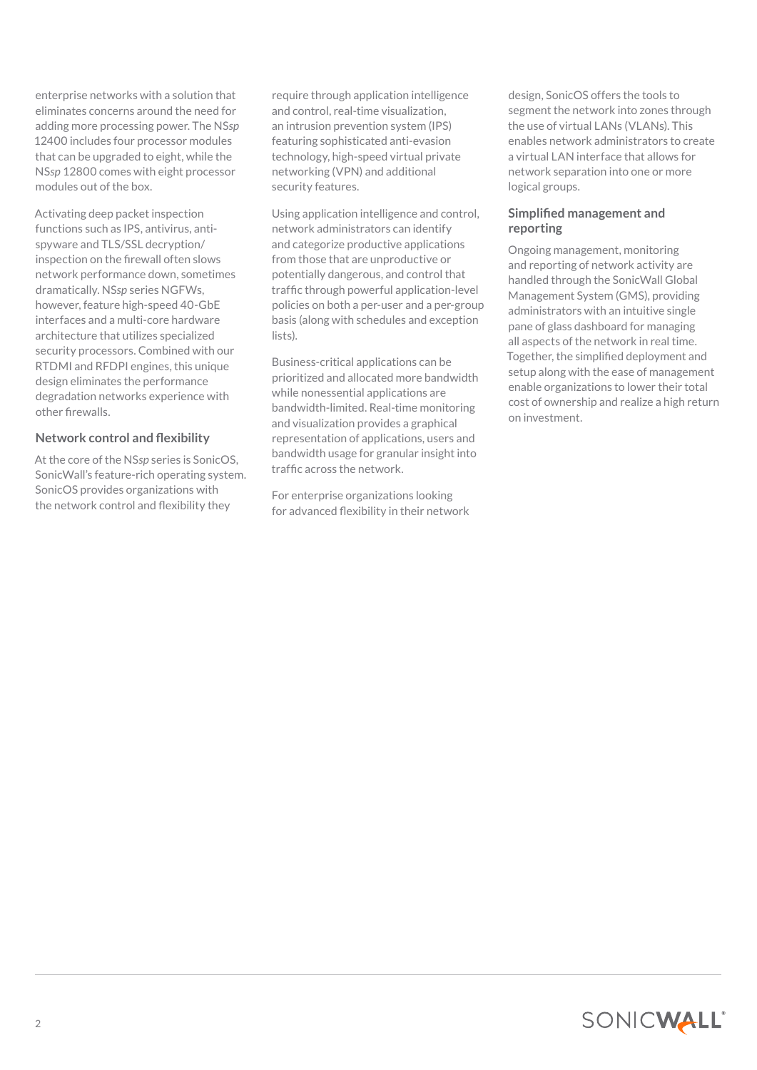enterprise networks with a solution that eliminates concerns around the need for adding more processing power. The NS*sp* 12400 includes four processor modules that can be upgraded to eight, while the NS*sp* 12800 comes with eight processor modules out of the box.

Activating deep packet inspection functions such as IPS, antivirus, antispyware and TLS/SSL decryption/ inspection on the firewall often slows network performance down, sometimes dramatically. NS*sp* series NGFWs, however, feature high-speed 40-GbE interfaces and a multi-core hardware architecture that utilizes specialized security processors. Combined with our RTDMI and RFDPI engines, this unique design eliminates the performance degradation networks experience with other firewalls.

# **Network control and flexibility**

At the core of the NS*sp* series is SonicOS, SonicWall's feature-rich operating system. SonicOS provides organizations with the network control and flexibility they

require through application intelligence and control, real-time visualization, an intrusion prevention system (IPS) featuring sophisticated anti-evasion technology, high-speed virtual private networking (VPN) and additional security features.

Using application intelligence and control, network administrators can identify and categorize productive applications from those that are unproductive or potentially dangerous, and control that traffic through powerful application-level policies on both a per-user and a per-group basis (along with schedules and exception lists).

Business-critical applications can be prioritized and allocated more bandwidth while nonessential applications are bandwidth-limited. Real-time monitoring and visualization provides a graphical representation of applications, users and bandwidth usage for granular insight into traffic across the network.

For enterprise organizations looking for advanced flexibility in their network design, SonicOS offers the tools to segment the network into zones through the use of virtual LANs (VLANs). This enables network administrators to create a virtual LAN interface that allows for network separation into one or more logical groups.

# **Simplified management and reporting**

Ongoing management, monitoring and reporting of network activity are handled through the SonicWall Global Management System (GMS), providing administrators with an intuitive single pane of glass dashboard for managing all aspects of the network in real time. Together, the simplified deployment and setup along with the ease of management enable organizations to lower their total cost of ownership and realize a high return on investment.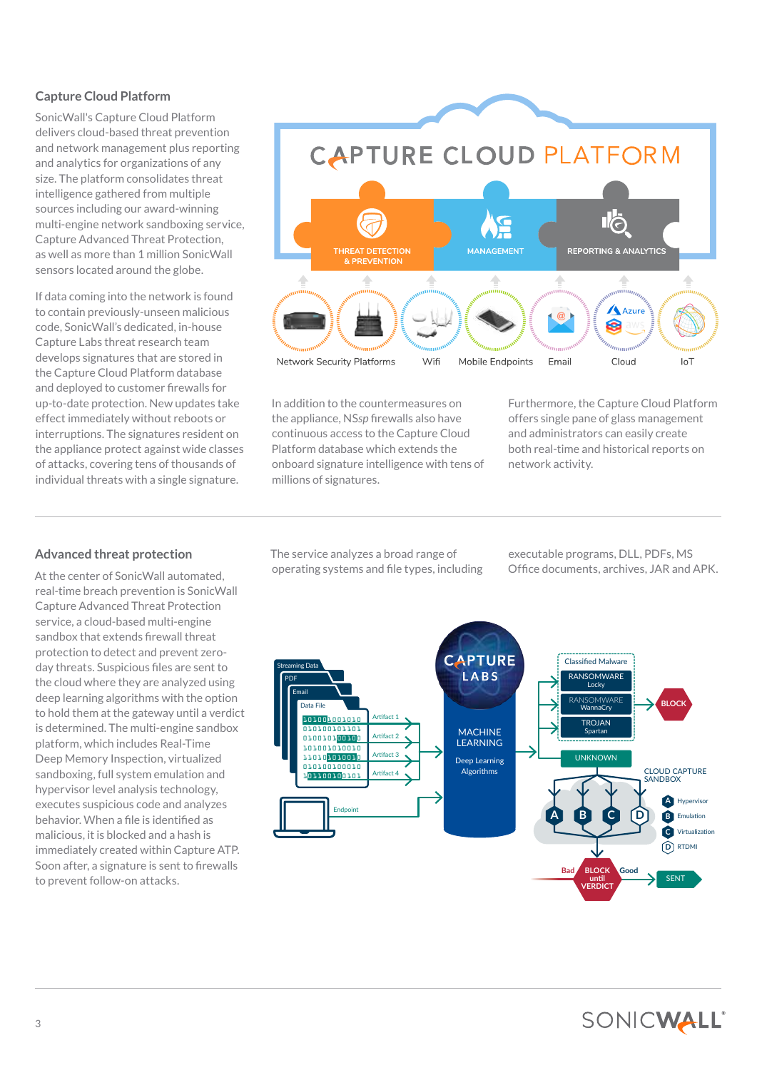# **Capture Cloud Platform**

SonicWall's Capture Cloud Platform delivers cloud-based threat prevention and network management plus reporting and analytics for organizations of any size. The platform consolidates threat intelligence gathered from multiple sources including our award-winning multi-engine network sandboxing service, Capture Advanced Threat Protection, as well as more than 1 million SonicWall sensors located around the globe.

If data coming into the network is found to contain previously-unseen malicious code, SonicWall's dedicated, in-house Capture Labs threat research team develops signatures that are stored in the Capture Cloud Platform database and deployed to customer firewalls for up-to-date protection. New updates take effect immediately without reboots or interruptions. The signatures resident on the appliance protect against wide classes of attacks, covering tens of thousands of individual threats with a single signature.



In addition to the countermeasures on the appliance, NS*sp* firewalls also have continuous access to the Capture Cloud Platform database which extends the onboard signature intelligence with tens of millions of signatures.

Furthermore, the Capture Cloud Platform offers single pane of glass management and administrators can easily create both real-time and historical reports on network activity.

# **Advanced threat protection**

At the center of SonicWall automated, real-time breach prevention is SonicWall Capture Advanced Threat Protection service, a cloud-based multi-engine sandbox that extends firewall threat protection to detect and prevent zeroday threats. Suspicious files are sent to the cloud where they are analyzed using deep learning algorithms with the option to hold them at the gateway until a verdict is determined. The multi-engine sandbox platform, which includes Real-Time Deep Memory Inspection, virtualized sandboxing, full system emulation and hypervisor level analysis technology, executes suspicious code and analyzes behavior. When a file is identified as malicious, it is blocked and a hash is immediately created within Capture ATP. Soon after, a signature is sent to firewalls to prevent follow-on attacks.

The service analyzes a broad range of operating systems and file types, including executable programs, DLL, PDFs, MS Office documents, archives, JAR and APK.

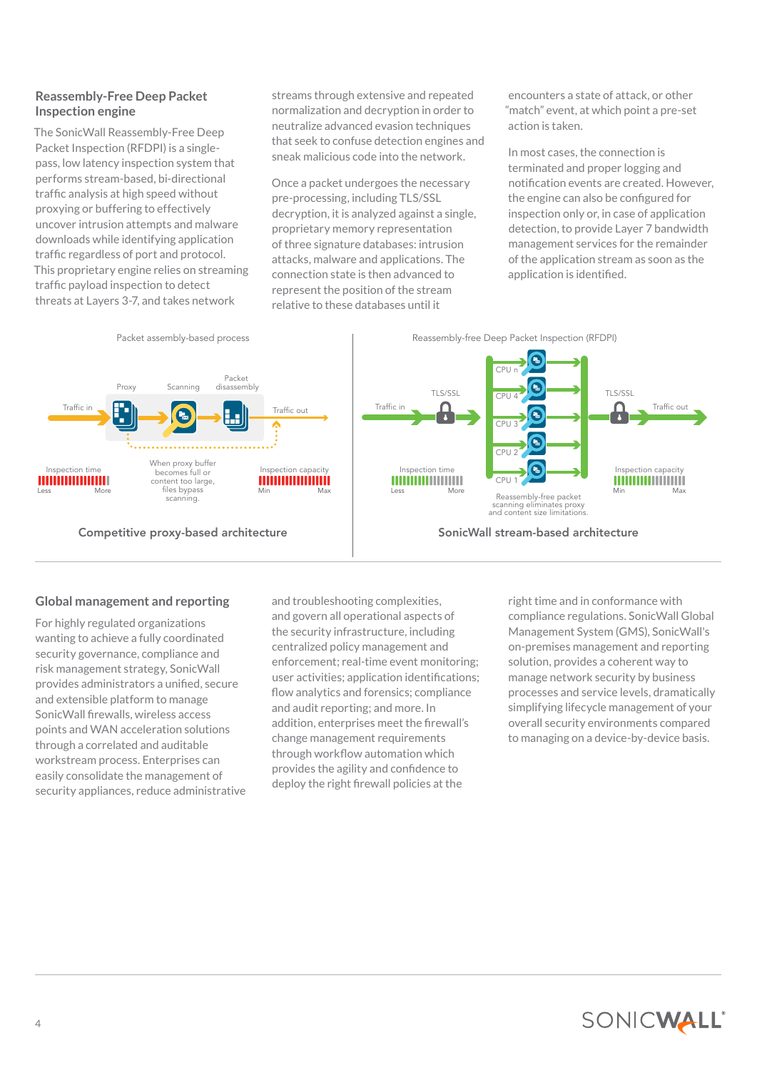# **Reassembly-Free Deep Packet Inspection engine**

The SonicWall Reassembly-Free Deep Packet Inspection (RFDPI) is a singlepass, low latency inspection system that performs stream-based, bi-directional traffic analysis at high speed without proxying or buffering to effectively uncover intrusion attempts and malware downloads while identifying application traffic regardless of port and protocol. This proprietary engine relies on streaming traffic payload inspection to detect threats at Layers 3-7, and takes network

streams through extensive and repeated normalization and decryption in order to neutralize advanced evasion techniques that seek to confuse detection engines and sneak malicious code into the network.

Once a packet undergoes the necessary pre-processing, including TLS/SSL decryption, it is analyzed against a single, proprietary memory representation of three signature databases: intrusion attacks, malware and applications. The connection state is then advanced to represent the position of the stream relative to these databases until it

encounters a state of attack, or other "match" event, at which point a pre-set action is taken.

In most cases, the connection is terminated and proper logging and notification events are created. However, the engine can also be configured for inspection only or, in case of application detection, to provide Layer 7 bandwidth management services for the remainder of the application stream as soon as the application is identified.



# **Global management and reporting**

For highly regulated organizations wanting to achieve a fully coordinated security governance, compliance and risk management strategy, SonicWall provides administrators a unified, secure and extensible platform to manage SonicWall firewalls, wireless access points and WAN acceleration solutions through a correlated and auditable workstream process. Enterprises can easily consolidate the management of security appliances, reduce administrative

and troubleshooting complexities, and govern all operational aspects of the security infrastructure, including centralized policy management and enforcement; real-time event monitoring; user activities; application identifications; flow analytics and forensics; compliance and audit reporting; and more. In addition, enterprises meet the firewall's change management requirements through workflow automation which provides the agility and confidence to deploy the right firewall policies at the

right time and in conformance with compliance regulations. SonicWall Global Management System (GMS), SonicWall's on-premises management and reporting solution, provides a coherent way to manage network security by business processes and service levels, dramatically simplifying lifecycle management of your overall security environments compared to managing on a device-by-device basis.

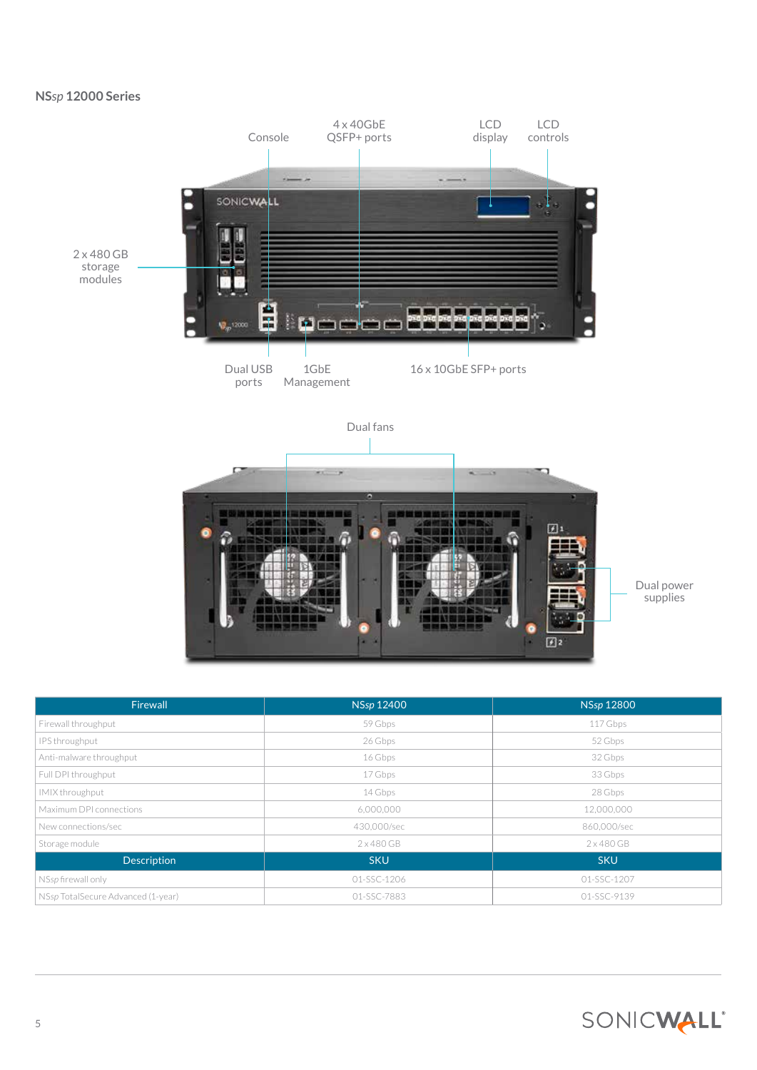# **NS***sp* **12000 Series**



| Firewall                           | <b>NSsp 12400</b> | NSsp 12800        |
|------------------------------------|-------------------|-------------------|
| Firewall throughput                | 59 Gbps           | 117 Gbps          |
| IPS throughput                     | 26 Gbps           | 52 Gbps           |
| Anti-malware throughput            | 16 Gbps           | 32 Gbps           |
| Full DPI throughput                | 17 Gbps           | 33 Gbps           |
| IMIX throughput                    | 14 Gbps           | 28 Gbps           |
| Maximum DPI connections            | 6,000,000         | 12,000,000        |
| New connections/sec                | 430,000/sec       | 860,000/sec       |
| Storage module                     | 2x480GB           | $2 \times 480$ GB |
| <b>Description</b>                 | <b>SKU</b>        | <b>SKU</b>        |
| NSsp firewall only                 | 01-SSC-1206       | 01-SSC-1207       |
| NSsp TotalSecure Advanced (1-year) | 01-SSC-7883       | 01-SSC-9139       |

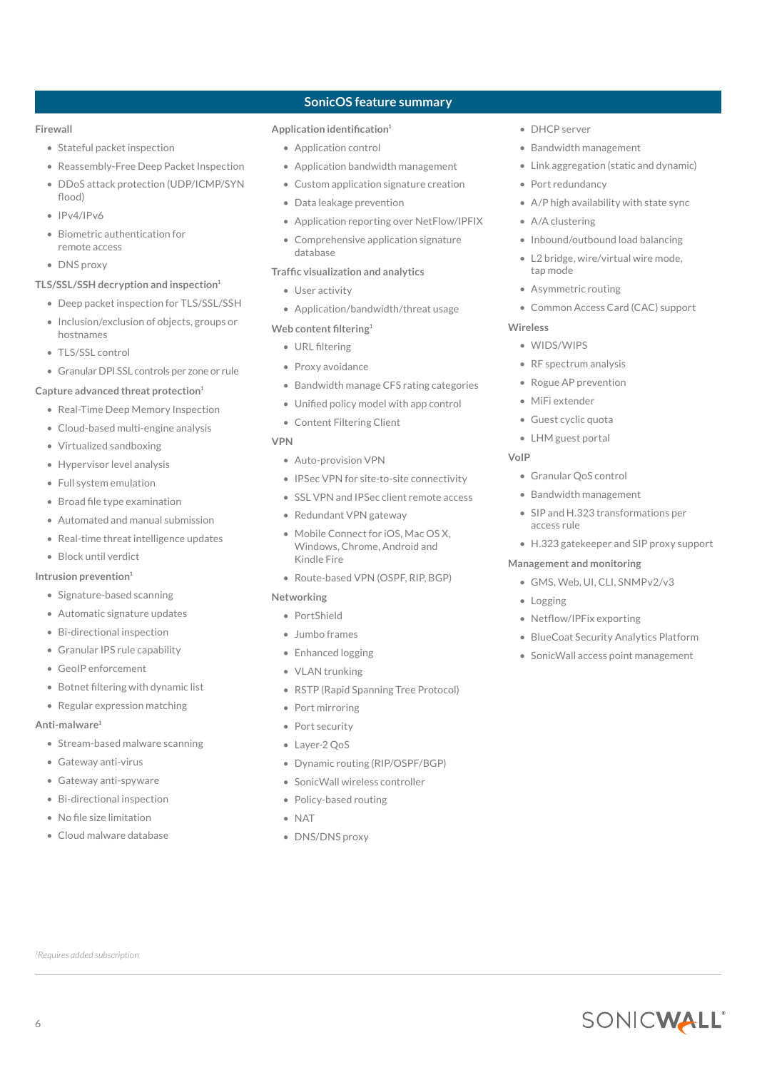# **Firewall**

- Stateful packet inspection
- Reassembly-Free Deep Packet Inspection
- DDoS attack protection (UDP/ICMP/SYN flood)
- IPv4/IPv6
- Biometric authentication for remote access

#### • DNS proxy

# **TLS/SSL/SSH decryption and inspection1**

- Deep packet inspection for TLS/SSL/SSH
- Inclusion/exclusion of objects, groups or hostnames
- TLS/SSL control
- Granular DPI SSL controls per zone or rule

#### **Capture advanced threat protection1**

- Real-Time Deep Memory Inspection
- Cloud-based multi-engine analysis
- Virtualized sandboxing
- Hypervisor level analysis
- Full system emulation
- Broad file type examination
- Automated and manual submission
- Real-time threat intelligence updates

## • Block until verdict

#### **Intrusion prevention1**

- Signature-based scanning
- Automatic signature updates
- Bi-directional inspection
- Granular IPS rule capability
- GeoIP enforcement
- Botnet filtering with dynamic list
- Regular expression matching

#### **Anti-malware<sup>1</sup>**

6

- Stream-based malware scanning
- Gateway anti-virus
- Gateway anti-spyware
- Bi-directional inspection
- No file size limitation

*1 Requires added subscription*

• Cloud malware database

# **SonicOS feature summary**

# **Application identification<sup>1</sup>**

- Application control
- Application bandwidth management
- Custom application signature creation
- Data leakage prevention
- Application reporting over NetFlow/IPFIX
- Comprehensive application signature database

#### **Traffic visualization and analytics**

- User activity
- Application/bandwidth/threat usage
- **Web content filtering<sup>1</sup>**
	- URL filtering
	- Proxy avoidance
	- Bandwidth manage CFS rating categories
	- Unified policy model with app control
	- Content Filtering Client

#### **VPN**

- Auto-provision VPN
- IPSec VPN for site-to-site connectivity
- SSL VPN and IPSec client remote access
- Redundant VPN gateway
- Mobile Connect for iOS, Mac OS X, Windows, Chrome, Android and Kindle Fire
- Route-based VPN (OSPF, RIP, BGP)

#### **Networking**

- PortShield
- Jumbo frames
- Enhanced logging
- VLAN trunking
- RSTP (Rapid Spanning Tree Protocol)
- Port mirroring
- Port security
- Layer-2 QoS
- Dynamic routing (RIP/OSPF/BGP)
- SonicWall wireless controller
- Policy-based routing
- NAT
- DNS/DNS proxy
- DHCP server
- Bandwidth management
- Link aggregation (static and dynamic)
- Port redundancy
- A/P high availability with state sync
- A/A clustering
- Inbound/outbound load balancing
- L2 bridge, wire/virtual wire mode, tap mode
- Asymmetric routing
- Common Access Card (CAC) support

#### **Wireless**

- WIDS/WIPS
- RF spectrum analysis
- Rogue AP prevention
- MiFi extender
- Guest cyclic quota
- LHM guest portal

#### **VoIP**

- Granular QoS control
- Bandwidth management
- SIP and H.323 transformations per access rule
- H.323 gatekeeper and SIP proxy support

#### **Management and monitoring**

• Netflow/IPFix exporting

• GMS, Web, UI, CLI, SNMPv2/v3

• BlueCoat Security Analytics Platform • SonicWall access point management

SONICWALL®

• Logging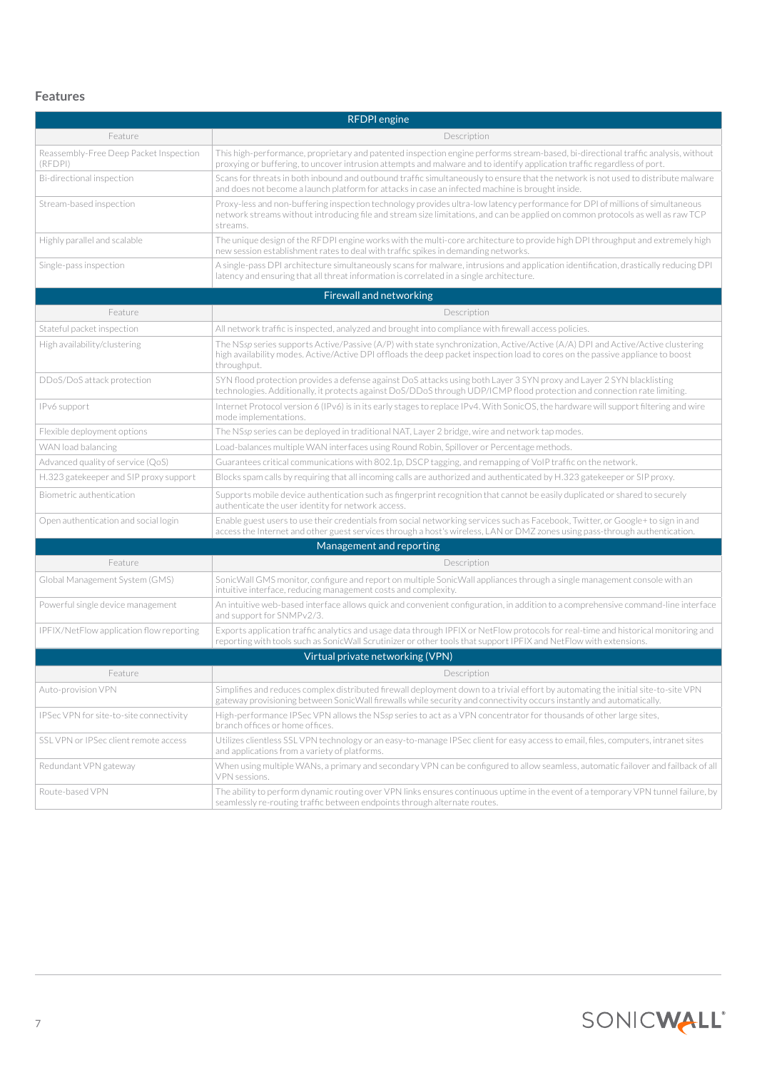# **Features**

| <b>RFDPI</b> engine                               |                                                                                                                                                                                                                                                                                 |  |  |
|---------------------------------------------------|---------------------------------------------------------------------------------------------------------------------------------------------------------------------------------------------------------------------------------------------------------------------------------|--|--|
| Feature                                           | Description                                                                                                                                                                                                                                                                     |  |  |
| Reassembly-Free Deep Packet Inspection<br>(RFDPI) | This high-performance, proprietary and patented inspection engine performs stream-based, bi-directional traffic analysis, without<br>proxying or buffering, to uncover intrusion attempts and malware and to identify application traffic regardless of port.                   |  |  |
| Bi-directional inspection                         | Scans for threats in both inbound and outbound traffic simultaneously to ensure that the network is not used to distribute malware<br>and does not become a launch platform for attacks in case an infected machine is brought inside.                                          |  |  |
| Stream-based inspection                           | Proxy-less and non-buffering inspection technology provides ultra-low latency performance for DPI of millions of simultaneous<br>network streams without introducing file and stream size limitations, and can be applied on common protocols as well as raw TCP<br>streams.    |  |  |
| Highly parallel and scalable                      | The unique design of the RFDPI engine works with the multi-core architecture to provide high DPI throughput and extremely high<br>new session establishment rates to deal with traffic spikes in demanding networks.                                                            |  |  |
| Single-pass inspection                            | A single-pass DPI architecture simultaneously scans for malware, intrusions and application identification, drastically reducing DPI<br>latency and ensuring that all threat information is correlated in a single architecture.                                                |  |  |
|                                                   | <b>Firewall and networking</b>                                                                                                                                                                                                                                                  |  |  |
| Feature                                           | Description                                                                                                                                                                                                                                                                     |  |  |
| Stateful packet inspection                        | All network traffic is inspected, analyzed and brought into compliance with firewall access policies.                                                                                                                                                                           |  |  |
| High availability/clustering                      | The NSsp series supports Active/Passive (A/P) with state synchronization, Active/Active (A/A) DPI and Active/Active clustering<br>high availability modes. Active/Active DPI offloads the deep packet inspection load to cores on the passive appliance to boost<br>throughput. |  |  |
| DDoS/DoS attack protection                        | SYN flood protection provides a defense against DoS attacks using both Layer 3 SYN proxy and Layer 2 SYN blacklisting<br>technologies. Additionally, it protects against DoS/DDoS through UDP/ICMP flood protection and connection rate limiting.                               |  |  |
| IPv6 support                                      | Internet Protocol version 6 (IPv6) is in its early stages to replace IPv4. With SonicOS, the hardware will support filtering and wire<br>mode implementations.                                                                                                                  |  |  |
| Flexible deployment options                       | The NSsp series can be deployed in traditional NAT, Layer 2 bridge, wire and network tap modes.                                                                                                                                                                                 |  |  |
| WAN load balancing                                | Load-balances multiple WAN interfaces using Round Robin, Spillover or Percentage methods.                                                                                                                                                                                       |  |  |
| Advanced quality of service (QoS)                 | Guarantees critical communications with 802.1p, DSCP tagging, and remapping of VoIP traffic on the network.                                                                                                                                                                     |  |  |
| H.323 gatekeeper and SIP proxy support            | Blocks spam calls by requiring that all incoming calls are authorized and authenticated by H.323 gatekeeper or SIP proxy.                                                                                                                                                       |  |  |
| Biometric authentication                          | Supports mobile device authentication such as fingerprint recognition that cannot be easily duplicated or shared to securely<br>authenticate the user identity for network access.                                                                                              |  |  |
| Open authentication and social login              | Enable guest users to use their credentials from social networking services such as Facebook, Twitter, or Google+ to sign in and<br>access the Internet and other guest services through a host's wireless, LAN or DMZ zones using pass-through authentication.                 |  |  |
|                                                   | Management and reporting                                                                                                                                                                                                                                                        |  |  |
| Feature                                           | Description                                                                                                                                                                                                                                                                     |  |  |
| Global Management System (GMS)                    | SonicWall GMS monitor, configure and report on multiple SonicWall appliances through a single management console with an<br>intuitive interface, reducing management costs and complexity.                                                                                      |  |  |
| Powerful single device management                 | An intuitive web-based interface allows quick and convenient configuration, in addition to a comprehensive command-line interface<br>and support for SNMPv2/3.                                                                                                                  |  |  |
| IPFIX/NetFlow application flow reporting          | Exports application traffic analytics and usage data through IPFIX or NetFlow protocols for real-time and historical monitoring and<br>reporting with tools such as SonicWall Scrutinizer or other tools that support IPFIX and NetFlow with extensions.                        |  |  |
|                                                   | Virtual private networking (VPN)                                                                                                                                                                                                                                                |  |  |
| Feature                                           | Description                                                                                                                                                                                                                                                                     |  |  |
| Auto-provision VPN                                | Simplifies and reduces complex distributed firewall deployment down to a trivial effort by automating the initial site-to-site VPN<br>gateway provisioning between SonicWall firewalls while security and connectivity occurs instantly and automatically.                      |  |  |
| IPSec VPN for site-to-site connectivity           | High-performance IPSec VPN allows the NSsp series to act as a VPN concentrator for thousands of other large sites,<br>branch offices or home offices.                                                                                                                           |  |  |
| SSL VPN or IPSec client remote access             | Utilizes clientless SSL VPN technology or an easy-to-manage IPSec client for easy access to email, files, computers, intranet sites<br>and applications from a variety of platforms.                                                                                            |  |  |
| Redundant VPN gateway                             | When using multiple WANs, a primary and secondary VPN can be configured to allow seamless, automatic failover and failback of all<br>VPN sessions.                                                                                                                              |  |  |
| Route-based VPN                                   | The ability to perform dynamic routing over VPN links ensures continuous uptime in the event of a temporary VPN tunnel failure, by<br>seamlessly re-routing traffic between endpoints through alternate routes.                                                                 |  |  |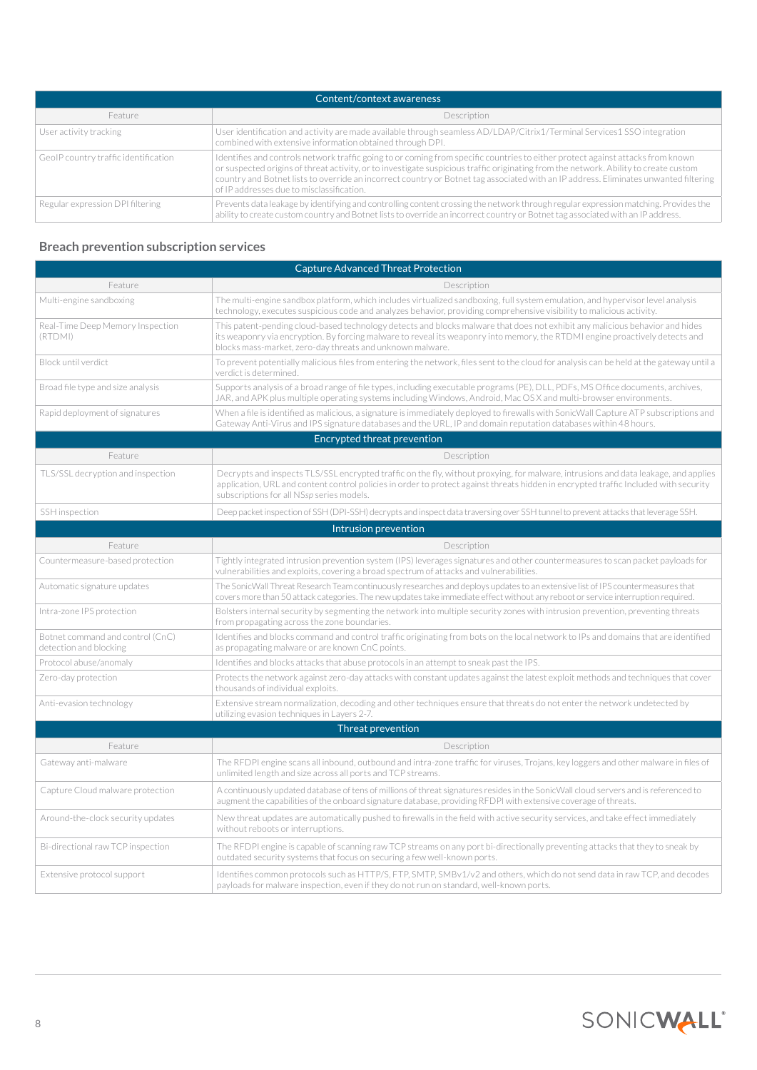| Content/context awareness            |                                                                                                                                                                                                                                                                                                                                                                                                                                                              |  |
|--------------------------------------|--------------------------------------------------------------------------------------------------------------------------------------------------------------------------------------------------------------------------------------------------------------------------------------------------------------------------------------------------------------------------------------------------------------------------------------------------------------|--|
| Feature                              | Description                                                                                                                                                                                                                                                                                                                                                                                                                                                  |  |
| User activity tracking               | User identification and activity are made available through seamless AD/LDAP/Citrix1/Terminal Services1 SSO integration<br>combined with extensive information obtained through DPI.                                                                                                                                                                                                                                                                         |  |
| GeoIP country traffic identification | Identifies and controls network traffic going to or coming from specific countries to either protect against attacks from known<br>or suspected origins of threat activity, or to investigate suspicious traffic originating from the network. Ability to create custom<br>country and Botnet lists to override an incorrect country or Botnet tag associated with an IP address. Eliminates unwanted filtering<br>of IP addresses due to misclassification. |  |
| Regular expression DPI filtering     | Prevents data leakage by identifying and controlling content crossing the network through regular expression matching. Provides the<br>ability to create custom country and Botnet lists to override an incorrect country or Botnet tag associated with an IP address.                                                                                                                                                                                       |  |

# **Breach prevention subscription services**

| <b>Capture Advanced Threat Protection</b>                  |                                                                                                                                                                                                                                                                                                                           |  |
|------------------------------------------------------------|---------------------------------------------------------------------------------------------------------------------------------------------------------------------------------------------------------------------------------------------------------------------------------------------------------------------------|--|
| Feature                                                    | Description                                                                                                                                                                                                                                                                                                               |  |
| Multi-engine sandboxing                                    | The multi-engine sandbox platform, which includes virtualized sandboxing, full system emulation, and hypervisor level analysis<br>technology, executes suspicious code and analyzes behavior, providing comprehensive visibility to malicious activity.                                                                   |  |
| Real-Time Deep Memory Inspection<br>(RTDMI)                | This patent-pending cloud-based technology detects and blocks malware that does not exhibit any malicious behavior and hides<br>its weaponry via encryption. By forcing malware to reveal its weaponry into memory, the RTDMI engine proactively detects and<br>blocks mass-market, zero-day threats and unknown malware. |  |
| Block until verdict                                        | To prevent potentially malicious files from entering the network, files sent to the cloud for analysis can be held at the gateway until a<br>verdict is determined.                                                                                                                                                       |  |
| Broad file type and size analysis                          | Supports analysis of a broad range of file types, including executable programs (PE), DLL, PDFs, MS Office documents, archives,<br>JAR, and APK plus multiple operating systems including Windows, Android, Mac OS X and multi-browser environments.                                                                      |  |
| Rapid deployment of signatures                             | When a file is identified as malicious, a signature is immediately deployed to firewalls with SonicWall Capture ATP subscriptions and<br>Gateway Anti-Virus and IPS signature databases and the URL, IP and domain reputation databases within 48 hours.                                                                  |  |
|                                                            | Encrypted threat prevention                                                                                                                                                                                                                                                                                               |  |
| Feature                                                    | Description                                                                                                                                                                                                                                                                                                               |  |
| TLS/SSL decryption and inspection                          | Decrypts and inspects TLS/SSL encrypted traffic on the fly, without proxying, for malware, intrusions and data leakage, and applies<br>application, URL and content control policies in order to protect against threats hidden in encrypted traffic Included with security<br>subscriptions for all NSsp series models.  |  |
| SSH inspection                                             | Deep packet inspection of SSH (DPI-SSH) decrypts and inspect data traversing over SSH tunnel to prevent attacks that leverage SSH.                                                                                                                                                                                        |  |
|                                                            | Intrusion prevention                                                                                                                                                                                                                                                                                                      |  |
| Feature                                                    | Description                                                                                                                                                                                                                                                                                                               |  |
| Countermeasure-based protection                            | Tightly integrated intrusion prevention system (IPS) leverages signatures and other countermeasures to scan packet payloads for<br>vulnerabilities and exploits, covering a broad spectrum of attacks and vulnerabilities.                                                                                                |  |
| Automatic signature updates                                | The SonicWall Threat Research Team continuously researches and deploys updates to an extensive list of IPS countermeasures that<br>covers more than 50 attack categories. The new updates take immediate effect without any reboot or service interruption required.                                                      |  |
| Intra-zone IPS protection                                  | Bolsters internal security by segmenting the network into multiple security zones with intrusion prevention, preventing threats<br>from propagating across the zone boundaries.                                                                                                                                           |  |
| Botnet command and control (CnC)<br>detection and blocking | Identifies and blocks command and control traffic originating from bots on the local network to IPs and domains that are identified<br>as propagating malware or are known CnC points.                                                                                                                                    |  |
| Protocol abuse/anomaly                                     | Identifies and blocks attacks that abuse protocols in an attempt to sneak past the IPS.                                                                                                                                                                                                                                   |  |
| Zero-day protection                                        | Protects the network against zero-day attacks with constant updates against the latest exploit methods and techniques that cover<br>thousands of individual exploits.                                                                                                                                                     |  |
| Anti-evasion technology                                    | Extensive stream normalization, decoding and other techniques ensure that threats do not enter the network undetected by<br>utilizing evasion techniques in Layers 2-7.                                                                                                                                                   |  |
|                                                            | <b>Threat prevention</b>                                                                                                                                                                                                                                                                                                  |  |
| Feature                                                    | Description                                                                                                                                                                                                                                                                                                               |  |
| Gateway anti-malware                                       | The RFDPI engine scans all inbound, outbound and intra-zone traffic for viruses, Trojans, key loggers and other malware in files of<br>unlimited length and size across all ports and TCP streams.                                                                                                                        |  |
| Capture Cloud malware protection                           | A continuously updated database of tens of millions of threat signatures resides in the SonicWall cloud servers and is referenced to<br>augment the capabilities of the onboard signature database, providing RFDPI with extensive coverage of threats.                                                                   |  |
| Around-the-clock security updates                          | New threat updates are automatically pushed to firewalls in the field with active security services, and take effect immediately<br>without reboots or interruptions.                                                                                                                                                     |  |
| Bi-directional raw TCP inspection                          | The RFDPI engine is capable of scanning raw TCP streams on any port bi-directionally preventing attacks that they to sneak by<br>outdated security systems that focus on securing a few well-known ports.                                                                                                                 |  |
| Extensive protocol support                                 | Identifies common protocols such as HTTP/S, FTP, SMTP, SMBv1/v2 and others, which do not send data in raw TCP, and decodes<br>payloads for malware inspection, even if they do not run on standard, well-known ports.                                                                                                     |  |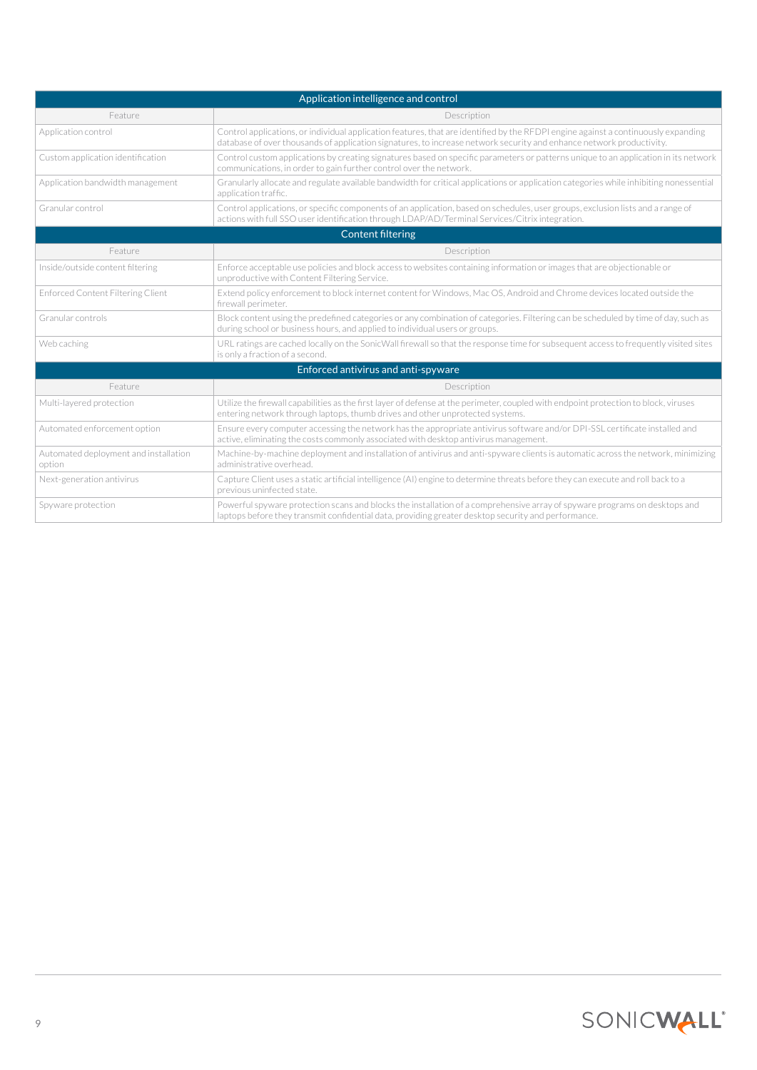| Application intelligence and control            |                                                                                                                                                                                                                                                            |  |  |  |
|-------------------------------------------------|------------------------------------------------------------------------------------------------------------------------------------------------------------------------------------------------------------------------------------------------------------|--|--|--|
| Feature                                         | Description                                                                                                                                                                                                                                                |  |  |  |
| Application control                             | Control applications, or individual application features, that are identified by the RFDPI engine against a continuously expanding<br>database of over thousands of application signatures, to increase network security and enhance network productivity. |  |  |  |
| Custom application identification               | Control custom applications by creating signatures based on specific parameters or patterns unique to an application in its network<br>communications, in order to gain further control over the network.                                                  |  |  |  |
| Application bandwidth management                | Granularly allocate and regulate available bandwidth for critical applications or application categories while inhibiting nonessential<br>application traffic.                                                                                             |  |  |  |
| Granular control                                | Control applications, or specific components of an application, based on schedules, user groups, exclusion lists and a range of<br>actions with full SSO user identification through LDAP/AD/Terminal Services/Citrix integration.                         |  |  |  |
| <b>Content filtering</b>                        |                                                                                                                                                                                                                                                            |  |  |  |
| Feature                                         | Description                                                                                                                                                                                                                                                |  |  |  |
| Inside/outside content filtering                | Enforce acceptable use policies and block access to websites containing information or images that are objectionable or<br>unproductive with Content Filtering Service.                                                                                    |  |  |  |
| <b>Enforced Content Filtering Client</b>        | Extend policy enforcement to block internet content for Windows, Mac OS, Android and Chrome devices located outside the<br>firewall perimeter.                                                                                                             |  |  |  |
| Granular controls                               | Block content using the predefined categories or any combination of categories. Filtering can be scheduled by time of day, such as<br>during school or business hours, and applied to individual users or groups.                                          |  |  |  |
| Web caching                                     | URL ratings are cached locally on the SonicWall firewall so that the response time for subsequent access to frequently visited sites<br>is only a fraction of a second.                                                                                    |  |  |  |
| Enforced antivirus and anti-spyware             |                                                                                                                                                                                                                                                            |  |  |  |
| Feature                                         | Description                                                                                                                                                                                                                                                |  |  |  |
| Multi-layered protection                        | Utilize the firewall capabilities as the first layer of defense at the perimeter, coupled with endpoint protection to block, viruses<br>entering network through laptops, thumb drives and other unprotected systems.                                      |  |  |  |
| Automated enforcement option                    | Ensure every computer accessing the network has the appropriate antivirus software and/or DPI-SSL certificate installed and<br>active, eliminating the costs commonly associated with desktop antivirus management.                                        |  |  |  |
| Automated deployment and installation<br>option | Machine-by-machine deployment and installation of antivirus and anti-spyware clients is automatic across the network, minimizing<br>administrative overhead.                                                                                               |  |  |  |
| Next-generation antivirus                       | Capture Client uses a static artificial intelligence (AI) engine to determine threats before they can execute and roll back to a<br>previous uninfected state.                                                                                             |  |  |  |
| Spyware protection                              | Powerful spyware protection scans and blocks the installation of a comprehensive array of spyware programs on desktops and<br>laptops before they transmit confidential data, providing greater desktop security and performance.                          |  |  |  |

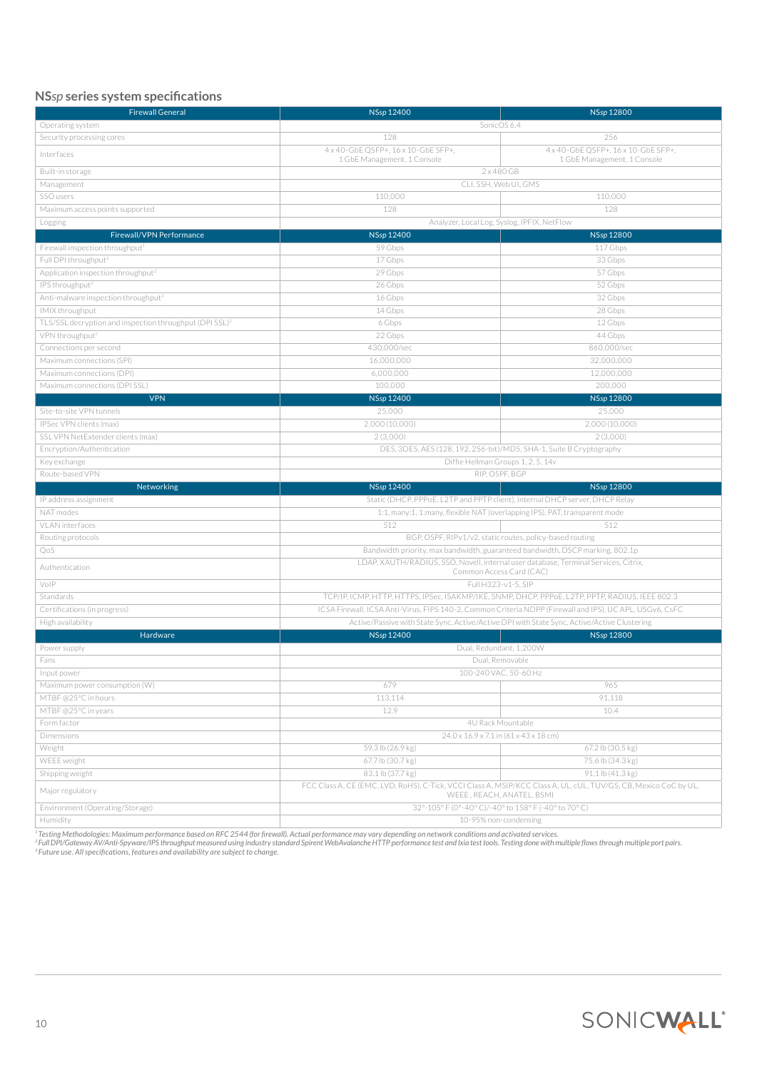# **NS***sp* **series system specifications**

| <b>Firewall General</b>                                             | NSsp 12400                                                                                                                                                                                                  | NSsp 12800                          |  |
|---------------------------------------------------------------------|-------------------------------------------------------------------------------------------------------------------------------------------------------------------------------------------------------------|-------------------------------------|--|
| Operating system                                                    | SonicOS 6.4                                                                                                                                                                                                 |                                     |  |
| Security processing cores                                           | 128<br>256                                                                                                                                                                                                  |                                     |  |
|                                                                     | 4 x 40-GbE QSFP+, 16 x 10-GbE SFP+,                                                                                                                                                                         | 4 x 40-GbE OSFP+, 16 x 10-GbE SFP+, |  |
| Interfaces                                                          | 1 GbE Management, 1 Console                                                                                                                                                                                 | 1 GbE Management, 1 Console         |  |
| Built-in storage                                                    | $2 \times 480$ GB                                                                                                                                                                                           |                                     |  |
| Management                                                          | CLI, SSH, Web UI, GMS                                                                                                                                                                                       |                                     |  |
| SSO users                                                           | 110,000                                                                                                                                                                                                     | 110,000                             |  |
| Maximum access points supported                                     | 128                                                                                                                                                                                                         | 128                                 |  |
| Logging                                                             | Analyzer, Local Log, Syslog, IPFIX, NetFlow                                                                                                                                                                 |                                     |  |
| Firewall/VPN Performance                                            | NSsp 12400                                                                                                                                                                                                  | NSsp 12800                          |  |
| Firewall inspection throughput <sup>1</sup>                         | 59 Gbps                                                                                                                                                                                                     | 117 Gbps                            |  |
| Full DPI throughput <sup>2</sup>                                    | 17 Gbps                                                                                                                                                                                                     | 33 Gbps                             |  |
| Application inspection throughput <sup>2</sup>                      | 29 Gbps                                                                                                                                                                                                     | 57 Gbps                             |  |
| IPS throughput <sup>2</sup>                                         | 26 Gbps                                                                                                                                                                                                     | 52 Gbps                             |  |
| Anti-malware inspection throughput <sup>2</sup>                     | 16 Gbps                                                                                                                                                                                                     | 32 Gbps                             |  |
| IMIX throughput                                                     | 14 Gbps                                                                                                                                                                                                     | 28 Gbps                             |  |
| TLS/SSL decryption and inspection throughput (DPI SSL) <sup>2</sup> | 6 Gbps                                                                                                                                                                                                      | 12 Gbps                             |  |
| VPN throughput <sup>3</sup>                                         | 22 Gbps                                                                                                                                                                                                     | 44 Gbps                             |  |
| Connections per second                                              | 430,000/sec                                                                                                                                                                                                 | 860,000/sec                         |  |
| Maximum connections (SPI)                                           | 16,000,000                                                                                                                                                                                                  | 32,000,000                          |  |
| Maximum connections (DPI)                                           | 6.000.000                                                                                                                                                                                                   | 12,000,000                          |  |
| Maximum connections (DPI SSL)                                       | 100,000                                                                                                                                                                                                     | 200,000                             |  |
| <b>VPN</b>                                                          | NSsp 12400                                                                                                                                                                                                  | NSsp 12800                          |  |
| Site-to-site VPN tunnels                                            | 25,000                                                                                                                                                                                                      | 25,000                              |  |
| IPSec VPN clients (max)                                             | 2,000 (10,000)                                                                                                                                                                                              | 2,000 (10,000)                      |  |
| SSL VPN NetExtender clients (max)                                   | 2(3,000)                                                                                                                                                                                                    | 2(3,000)                            |  |
| Encryption/Authentication                                           | DES, 3DES, AES (128, 192, 256-bit)/MD5, SHA-1, Suite B Cryptography                                                                                                                                         |                                     |  |
| Key exchange                                                        | Diffie Hellman Groups 1, 2, 5, 14v                                                                                                                                                                          |                                     |  |
| Route-based VPN                                                     | RIP, OSPF, BGP                                                                                                                                                                                              |                                     |  |
| Networking                                                          | NSsp 12400                                                                                                                                                                                                  | NSsp 12800                          |  |
|                                                                     |                                                                                                                                                                                                             |                                     |  |
| IP address assignment                                               | Static (DHCP, PPPoE, L2TP and PPTP client), Internal DHCP server, DHCP Relay                                                                                                                                |                                     |  |
| NAT modes                                                           | 1:1, many:1, 1:many, flexible NAT (overlapping IPS), PAT, transparent mode                                                                                                                                  |                                     |  |
| VLAN interfaces                                                     | 512                                                                                                                                                                                                         | 512                                 |  |
| Routing protocols                                                   | BGP, OSPF, RIPv1/v2, static routes, policy-based routing                                                                                                                                                    |                                     |  |
| QoS                                                                 | Bandwidth priority, max bandwidth, guaranteed bandwidth, DSCP marking, 802.1p                                                                                                                               |                                     |  |
| Authentication                                                      | LDAP, XAUTH/RADIUS, SSO, Novell, internal user database, Terminal Services, Citrix,<br>Common Access Card (CAC)                                                                                             |                                     |  |
|                                                                     |                                                                                                                                                                                                             |                                     |  |
| VoIP                                                                | Full H323-v1-5, SIP                                                                                                                                                                                         |                                     |  |
| Standards                                                           | TCP/IP, ICMP, HTTP, HTTPS, IPSec, ISAKMP/IKE, SNMP, DHCP, PPPoE, L2TP, PPTP, RADIUS, IEEE 802.3<br>ICSA Firewall, ICSA Anti-Virus, FIPS 140-2, Common Criteria NDPP (Firewall and IPS), UC APL, USGv6, CsFC |                                     |  |
| Certifications (in progress)                                        |                                                                                                                                                                                                             |                                     |  |
| High availability                                                   | Active/Passive with State Sync, Active/Active DPI with State Sync, Active/Active Clustering                                                                                                                 |                                     |  |
| Hardware                                                            | NSsp 12400                                                                                                                                                                                                  | NSsp 12800                          |  |
| Power supply                                                        | Dual, Redundant, 1,200W                                                                                                                                                                                     |                                     |  |
| Fans                                                                | Dual, Removable                                                                                                                                                                                             |                                     |  |
| Input power                                                         | 100-240 VAC, 50-60 Hz                                                                                                                                                                                       |                                     |  |
| Maximum power consumption (W)                                       | 679                                                                                                                                                                                                         | 965                                 |  |
| MTBF@25°C in hours                                                  | 113,114                                                                                                                                                                                                     | 91,118                              |  |
| MTBF@25°C in years                                                  | 12.9                                                                                                                                                                                                        | 10.4                                |  |
| Form factor                                                         | 4U Rack Mountable                                                                                                                                                                                           |                                     |  |
| <b>Dimensions</b>                                                   | 24.0 x 16.9 x 7.1 in (61 x 43 x 18 cm)                                                                                                                                                                      |                                     |  |
| Weight                                                              | 59.3 lb (26.9 kg)                                                                                                                                                                                           | 67.2 lb (30.5 kg)                   |  |
| WEEE weight                                                         | 67.7 lb (30.7 kg)                                                                                                                                                                                           | 75.6 lb (34.3 kg)                   |  |
| Shipping weight<br>Major regulatory                                 | 83.1 lb (37.7 kg)<br>FCC Class A, CE (EMC, LVD, RoHS), C-Tick, VCCI Class A, MSIP/KCC Class A, UL, cUL, TUV/GS, CB, Mexico CoC by UL,                                                                       | 91.1 lb (41.3 kg)                   |  |
|                                                                     | WEEE, REACH, ANATEL, BSMI                                                                                                                                                                                   |                                     |  |
| Environment (Operating/Storage)<br>Humidity                         | 32°-105° F (0°-40° C)/-40° to 158° F (-40° to 70° C)<br>10-95% non-condensing                                                                                                                               |                                     |  |

<sup>1</sup>Testing Methodologies: Maximum performance based on RFC 2544 (for firewall). Actual performance may vary depending on network conditions and activated services.<br><sup>2</sup>Full DP/Gateway AV/Anti-Spyware/IPS throughput measured